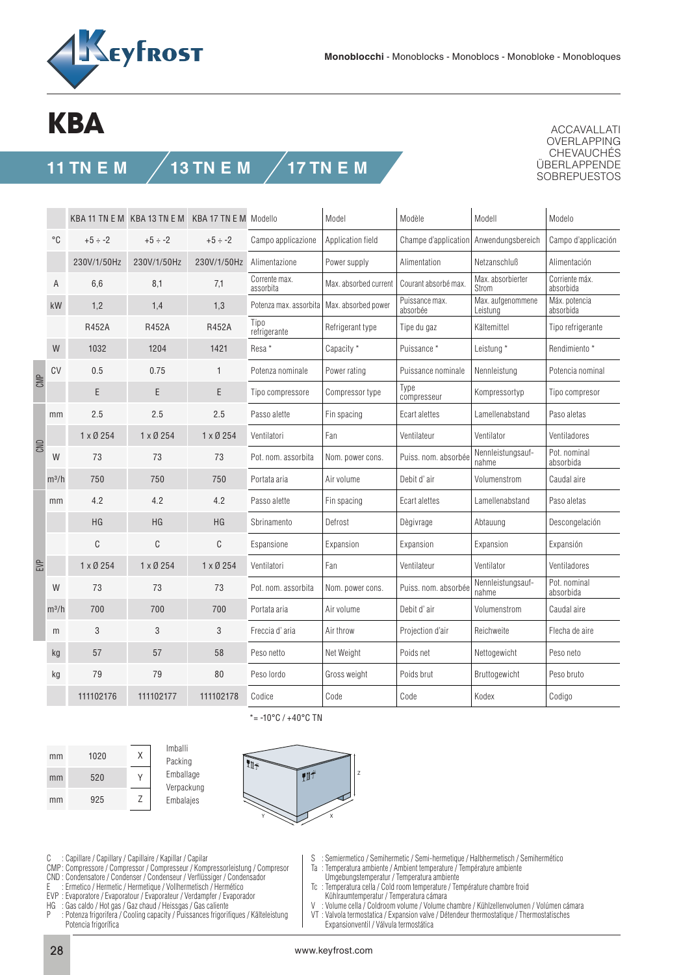

## **KBA**

## **11 TN E M 13 TN E M 17 TN E M**

ACCAVALLATI OVERLAPPING CHEVAUCHÉS ÜBERLAPPENDE SOBREPUESTOS

|     |             |                 | KBA 11 TN E M KBA 13 TN E M KBA 17 TN E M Modello |                 |                                              | Model<br>Modèle       |                                        | Modell                        | Modelo                      |  |
|-----|-------------|-----------------|---------------------------------------------------|-----------------|----------------------------------------------|-----------------------|----------------------------------------|-------------------------------|-----------------------------|--|
|     | $^{\circ}C$ | $+5 \div -2$    | $+5 \div -2$                                      | $+5 \div -2$    | Campo applicazione                           | Application field     | Champe d'application Anwendungsbereich |                               | Campo d'applicación         |  |
|     |             | 230V/1/50Hz     | 230V/1/50Hz                                       | 230V/1/50Hz     | Alimentazione                                | Power supply          | Alimentation                           | Netzanschluß                  | Alimentación                |  |
|     | Α           | 6,6             | 8,1                                               | 7,1             | Corrente max.<br>assorbita                   | Max. absorbed current | Courant absorbé max.                   | Max. absorbierter<br>Strom    | Corriente máx.<br>absorbida |  |
|     | kW          | 1,2             | 1,4                                               | 1,3             | Potenza max. assorbita   Max. absorbed power |                       | Puissance max.<br>absorbée             | Max. aufgenommene<br>Leistung | Máx. potencia<br>absorbida  |  |
|     |             | R452A           | <b>R452A</b>                                      | R452A           | Tipo<br>refrigerante                         | Refrigerant type      | Tipe du gaz                            | Kältemittel                   | Tipo refrigerante           |  |
|     | W           | 1032            | 1204                                              | 1421            | Resa <sup>*</sup>                            | Capacity *            | Puissance*                             | Leistung *                    | Rendimiento *               |  |
| CMP | CV          | 0.5             | 0.75                                              | $\mathbf{1}$    | Potenza nominale                             | Power rating          | Puissance nominale                     | Nennleistung                  | Potencia nominal            |  |
|     |             | E               | E                                                 | E               | Tipo compressore                             | Compressor type       | Type<br>compresseur                    | Kompressortyp                 | Tipo compresor              |  |
| CND | mm          | 2.5             | 2.5                                               | 2.5             | Passo alette                                 | Fin spacing           | Ecart alettes                          | Lamellenabstand               | Paso aletas                 |  |
|     |             | $1 \times 0254$ | 1 x Ø 254                                         | $1 \times 0254$ | Ventilatori                                  | Fan                   | Ventilateur                            | Ventilator                    | Ventiladores                |  |
|     | W           | 73              | 73                                                | 73              | Pot. nom. assorbita                          | Nom. power cons.      | Puiss. nom. absorbée                   | Nennleistungsauf-<br>nahme    | Pot. nominal<br>absorbida   |  |
|     | $m^3/h$     | 750             | 750                                               | 750             | Portata aria                                 | Air volume            | Debit d'air                            | Volumenstrom                  | Caudal aire                 |  |
| EVP | mm          | 4.2             | 4.2                                               | 4.2             | Passo alette                                 | Fin spacing           | Ecart alettes                          | Lamellenabstand               | Paso aletas                 |  |
|     |             | HG              | HG                                                | HG              | Sbrinamento                                  | Defrost               | Dègivrage                              | Abtauung                      | Descongelación              |  |
|     |             | С               | C                                                 | C               | Espansione                                   | Expansion             | Expansion                              | Expansion                     | Expansión                   |  |
|     |             | $1 \times 0254$ | 1 x Ø 254                                         | $1 \times 0254$ | Ventilatori                                  | Fan                   | Ventilateur                            | Ventilator                    | Ventiladores                |  |
|     | W           | 73              | 73                                                | 73              | Pot. nom. assorbita                          | Nom. power cons.      | Puiss. nom. absorbée                   | Nennleistungsauf-<br>nahme    | Pot. nominal<br>absorbida   |  |
|     | $m^3/h$     | 700             | 700                                               | 700             | Portata aria                                 | Air volume            | Debit d'air                            | Volumenstrom                  | Caudal aire                 |  |
|     | m           | 3               | 3                                                 | 3               | Freccia d'aria                               | Air throw             | Projection d'air                       | Reichweite                    | Flecha de aire              |  |
|     | kg          | 57              | 57                                                | 58              | Peso netto                                   | Net Weight            | Poids net                              | Nettogewicht                  | Peso neto                   |  |
|     | kg          | 79              | 79                                                | 80              | Peso lordo                                   | Gross weight          | Poids brut                             | Bruttogewicht                 | Peso bruto                  |  |
|     |             | 111102176       | 111102177                                         | 111102178       | Codice                                       | Code                  | Code                                   | Kodex                         | Codigo                      |  |







\*= -10°C / +40°C TN

- C : Capillare / Capillary / Capillaire / Kapillar / Capilar
- CMP : Compressore / Compressor / Compresseur / Kompressorleistung / Compresor
- CND : Condensatore / Condenser / Condenseur / Verflüssiger / Condensador
- E : Ermetico / Hermetic / Hermetique / Vollhermetisch / Hermético
- EVP : Evaporatore / Evaporatour / Evaporateur / Verdampfer / Evaporador
- HG : Gas caldo / Hot gas / Gaz chaud / Heissgas / Gas caliente
- : Potenza frigorifera / Cooling capacity / Puissances frigorifiques / Kälteleistung Potencia frigorífica
- S : Semiermetico / Semihermetic / Semi-hermetique / Halbhermetisch / Semihermético
- Ta : Temperatura ambiente / Ambient temperature / Température ambiente
- Umgebungstemperatur / Temperatura ambiente
- Tc : Temperatura cella / Cold room temperature / Température chambre froid Kühlraumtemperatur / Temperatura cámara<br>V · Volume cella / Coldroom volume / Volume (
- Volume cella / Coldroom volume / Volume chambre / Kühlzellenvolumen / Volúmen cámara
- VT : Valvola termostatica / Expansion valve / Détendeur thermostatique / Thermostatisches Expansionventil / Válvula termostática